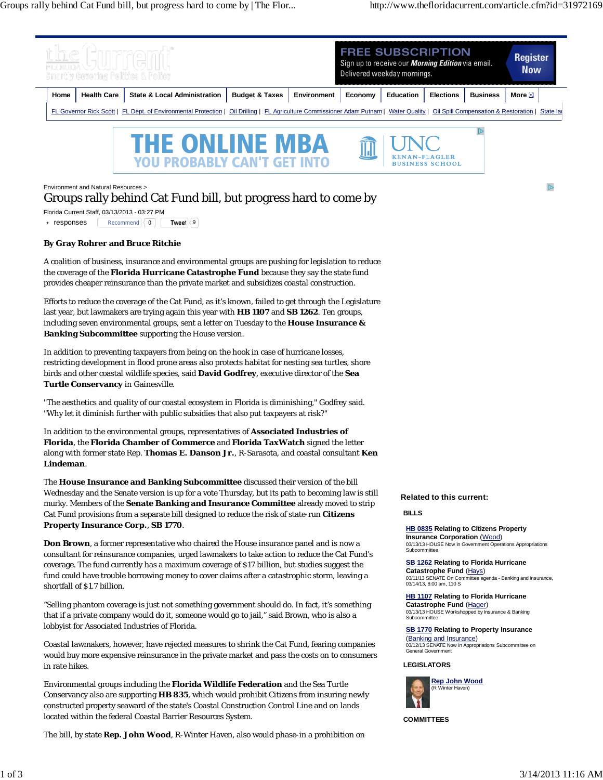

# Groups rally behind Cat Fund bill, but progress hard to come by

Florida Current Staff, 03/13/2013 - 03:27 PM

+ **responses** Recommend 0 **Tweet** 9

### **By Gray Rohrer and Bruce Ritchie**

A coalition of business, insurance and environmental groups are pushing for legislation to reduce the coverage of the **Florida Hurricane Catastrophe Fund** because they say the state fund provides cheaper reinsurance than the private market and subsidizes coastal construction.

Efforts to reduce the coverage of the Cat Fund, as it's known, failed to get through the Legislature last year, but lawmakers are trying again this year with **HB 1107** and **SB 1262**. Ten groups, including seven environmental groups, sent a letter on Tuesday to the **House Insurance & Banking Subcommittee** supporting the House version.

In addition to preventing taxpayers from being on the hook in case of hurricane losses, restricting development in flood prone areas also protects habitat for nesting sea turtles, shore birds and other coastal wildlife species, said **David Godfrey**, executive director of the **Sea Turtle Conservancy** in Gainesville.

"The aesthetics and quality of our coastal ecosystem in Florida is diminishing," Godfrey said. "Why let it diminish further with public subsidies that also put taxpayers at risk?"

In addition to the environmental groups, representatives of **Associated Industries of Florida**, the **Florida Chamber of Commerce** and **Florida TaxWatch** signed the letter along with former state Rep. **Thomas E. Danson Jr.**, R-Sarasota, and coastal consultant **Ken Lindeman**.

The **House Insurance and Banking Subcommittee** discussed their version of the bill Wednesday and the Senate version is up for a vote Thursday, but its path to becoming law is still murky. Members of the **Senate Banking and Insurance Committee** already moved to strip Cat Fund provisions from a separate bill designed to reduce the risk of state-run **Citizens Property Insurance Corp.**, **SB 1770**.

**Don Brown**, a former representative who chaired the House insurance panel and is now a consultant for reinsurance companies, urged lawmakers to take action to reduce the Cat Fund's coverage. The fund currently has a maximum coverage of \$17 billion, but studies suggest the fund could have trouble borrowing money to cover claims after a catastrophic storm, leaving a shortfall of \$1.7 billion.

"Selling phantom coverage is just not something government should do. In fact, it's something that if a private company would do it, someone would go to jail," said Brown, who is also a lobbyist for Associated Industries of Florida.

Coastal lawmakers, however, have rejected measures to shrink the Cat Fund, fearing companies would buy more expensive reinsurance in the private market and pass the costs on to consumers in rate hikes.

Environmental groups including the **Florida Wildlife Federation** and the Sea Turtle Conservancy also are supporting **HB 835**, which would prohibit Citizens from insuring newly constructed property seaward of the state's Coastal Construction Control Line and on lands located within the federal Coastal Barrier Resources System.

The bill, by state **Rep. John Wood**, R-Winter Haven, also would phase-in a prohibition on

## **Related to this current:**

#### **BILLS**

**HB 0835 Relating to Citizens Property Insurance Corporation** (Wood) 03/13/13 HOUSE Now in Government Operations Appropriations Subcommittee

**SB 1262 Relating to Florida Hurricane Catastrophe Fund** (Hays) 03/11/13 SENATE On Committee agenda - Banking and Insurance, 03/14/13, 8:00 am, 110 S

**HB 1107 Relating to Florida Hurricane Catastrophe Fund** (Hager) 03/13/13 HOUSE Workshopped by Insurance & Banking **Subcommittee** 

**SB 1770 Relating to Property Insurance** (Banking and Insurance)

03/12/13 SENATE Now in Appropriations Subcommittee or General Government

#### **LEGISLATORS**



**COMMITTEES**